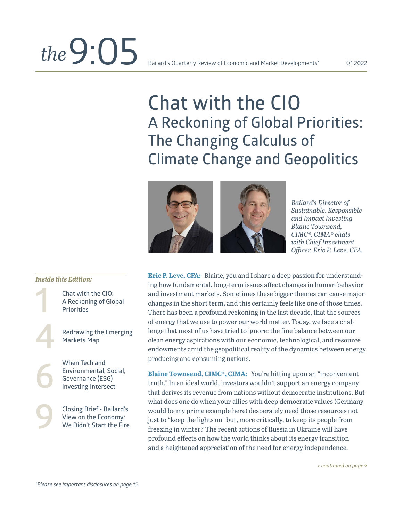# **Chat with the CIO A Reckoning of Global Priorities: The Changing Calculus of Climate Change and Geopolitics**



*Bailard's Director of Sustainable, Responsible and Impact Investing Blaine Townsend, CIMC®, CIMA® chats with Chief Investment Officer, Eric P. Leve, CFA.* 

*Inside this Edition:*

**1**

**4**

**6**

**9**

**Chat with the CIO: A Reckoning of Global Priorities**

> **Redrawing the Emerging Markets Map**

**When Tech and Environmental, Social, Governance (ESG) Investing Intersect**

**Closing Brief - Bailard's View on the Economy: We Didn't Start the Fire** **Eric P. Leve, CFA:** Blaine, you and I share a deep passion for understanding how fundamental, long-term issues affect changes in human behavior and investment markets. Sometimes these bigger themes can cause major changes in the short term, and this certainly feels like one of those times. There has been a profound reckoning in the last decade, that the sources of energy that we use to power our world matter. Today, we face a challenge that most of us have tried to ignore: the fine balance between our clean energy aspirations with our economic, technological, and resource endowments amid the geopolitical reality of the dynamics between energy producing and consuming nations.

**Blaine Townsend, CIMC®, CIMA:** You're hitting upon an "inconvenient truth." In an ideal world, investors wouldn't support an energy company that derives its revenue from nations without democratic institutions. But what does one do when your allies with deep democratic values (Germany would be my prime example here) desperately need those resources not just to "keep the lights on" but, more critically, to keep its people from freezing in winter? The recent actions of Russia in Ukraine will have profound effects on how the world thinks about its energy transition and a heightened appreciation of the need for energy independence.

*> continued on page 2*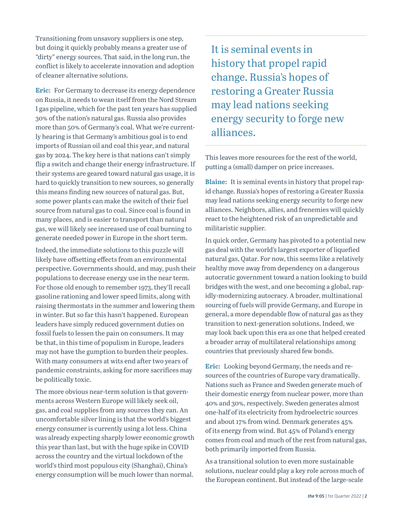Transitioning from unsavory suppliers is one step, but doing it quickly probably means a greater use of "dirty" energy sources. That said, in the long run, the conflict is likely to accelerate innovation and adoption of cleaner alternative solutions.

**Eric:** For Germany to decrease its energy dependence on Russia, it needs to wean itself from the Nord Stream I gas pipeline, which for the past ten years has supplied 30% of the nation's natural gas. Russia also provides more than 50% of Germany's coal. What we're currently hearing is that Germany's ambitious goal is to end imports of Russian oil and coal this year, and natural gas by 2024. The key here is that nations can't simply flip a switch and change their energy infrastructure. If their systems are geared toward natural gas usage, it is hard to quickly transition to new sources, so generally this means finding new sources of natural gas. But, some power plants can make the switch of their fuel source from natural gas to coal. Since coal is found in many places, and is easier to transport than natural gas, we will likely see increased use of coal burning to generate needed power in Europe in the short term.

Indeed, the immediate solutions to this puzzle will likely have offsetting effects from an environmental perspective. Governments should, and may, push their populations to decrease energy use in the near term. For those old enough to remember 1973, they'll recall gasoline rationing and lower speed limits, along with raising thermostats in the summer and lowering them in winter. But so far this hasn't happened. European leaders have simply reduced government duties on fossil fuels to lessen the pain on consumers. It may be that, in this time of populism in Europe, leaders may not have the gumption to burden their peoples. With many consumers at wits end after two years of pandemic constraints, asking for more sacrifices may be politically toxic.

The more obvious near-term solution is that governments across Western Europe will likely seek oil, gas, and coal supplies from any sources they can. An uncomfortable silver lining is that the world's biggest energy consumer is currently using a lot less. China was already expecting sharply lower economic growth this year than last, but with the huge spike in COVID across the country and the virtual lockdown of the world's third most populous city (Shanghai), China's energy consumption will be much lower than normal.

It is seminal events in history that propel rapid change. Russia's hopes of restoring a Greater Russia may lead nations seeking energy security to forge new alliances.

This leaves more resources for the rest of the world, putting a (small) damper on price increases.

**Blaine:** It is seminal events in history that propel rapid change. Russia's hopes of restoring a Greater Russia may lead nations seeking energy security to forge new alliances. Neighbors, allies, and frenemies will quickly react to the heightened risk of an unpredictable and militaristic supplier.

In quick order, Germany has pivoted to a potential new gas deal with the world's largest exporter of liquefied natural gas, Qatar. For now, this seems like a relatively healthy move away from dependency on a dangerous autocratic government toward a nation looking to build bridges with the west, and one becoming a global, rapidly-modernizing autocracy. A broader, multinational sourcing of fuels will provide Germany, and Europe in general, a more dependable flow of natural gas as they transition to next-generation solutions. Indeed, we may look back upon this era as one that helped created a broader array of multilateral relationships among countries that previously shared few bonds.

**Eric:** Looking beyond Germany, the needs and resources of the countries of Europe vary dramatically. Nations such as France and Sweden generate much of their domestic energy from nuclear power, more than 40% and 30%, respectively. Sweden generates almost one-half of its electricity from hydroelectric sources and about 17% from wind. Denmark generates 45% of its energy from wind. But 45% of Poland's energy comes from coal and much of the rest from natural gas, both primarily imported from Russia.

As a transitional solution to even more sustainable solutions, nuclear could play a key role across much of the European continent. But instead of the large-scale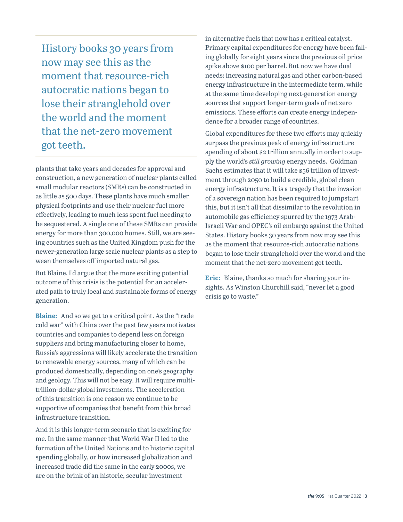History books 30 years from now may see this as the moment that resource-rich autocratic nations began to lose their stranglehold over the world and the moment that the net-zero movement got teeth.

plants that take years and decades for approval and construction, a new generation of nuclear plants called small modular reactors (SMRs) can be constructed in as little as 500 days. These plants have much smaller physical footprints and use their nuclear fuel more effectively, leading to much less spent fuel needing to be sequestered. A single one of these SMRs can provide energy for more than 300,000 homes. Still, we are seeing countries such as the United Kingdom push for the newer-generation large scale nuclear plants as a step to wean themselves off imported natural gas.

But Blaine, I'd argue that the more exciting potential outcome of this crisis is the potential for an accelerated path to truly local and sustainable forms of energy generation.

**Blaine:** And so we get to a critical point. As the "trade cold war" with China over the past few years motivates countries and companies to depend less on foreign suppliers and bring manufacturing closer to home, Russia's aggressions will likely accelerate the transition to renewable energy sources, many of which can be produced domestically, depending on one's geography and geology. This will not be easy. It will require multitrillion-dollar global investments. The acceleration of this transition is one reason we continue to be supportive of companies that benefit from this broad infrastructure transition.

And it is this longer-term scenario that is exciting for me. In the same manner that World War II led to the formation of the United Nations and to historic capital spending globally, or how increased globalization and increased trade did the same in the early 2000s, we are on the brink of an historic, secular investment

in alternative fuels that now has a critical catalyst. Primary capital expenditures for energy have been falling globally for eight years since the previous oil price spike above \$100 per barrel. But now we have dual needs: increasing natural gas and other carbon-based energy infrastructure in the intermediate term, while at the same time developing next-generation energy sources that support longer-term goals of net zero emissions. These efforts can create energy independence for a broader range of countries.

Global expenditures for these two efforts may quickly surpass the previous peak of energy infrastructure spending of about \$2 trillion annually in order to supply the world's *still growing* energy needs. Goldman Sachs estimates that it will take \$56 trillion of investment through 2050 to build a credible, global clean energy infrastructure. It is a tragedy that the invasion of a sovereign nation has been required to jumpstart this, but it isn't all that dissimilar to the revolution in automobile gas efficiency spurred by the 1973 Arab-Israeli War and OPEC's oil embargo against the United States. History books 30 years from now may see this as the moment that resource-rich autocratic nations began to lose their stranglehold over the world and the moment that the net-zero movement got teeth.

**Eric:** Blaine, thanks so much for sharing your insights. As Winston Churchill said, "never let a good crisis go to waste."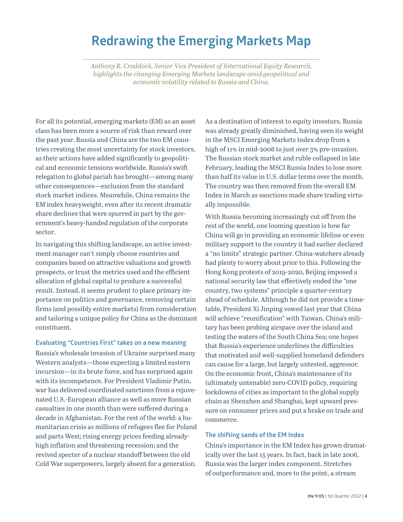## **Redrawing the Emerging Markets Map**

*Anthony R. Craddock, Senior Vice President of International Equity Research, highlights the changing Emerging Markets landscape amid geopolitical and economic volatility related to Russia and China.*

For all its potential, emerging markets (EM) as an asset class has been more a source of risk than reward over the past year. Russia and China are the two EM countries creating the most uncertainty for stock investors, as their actions have added significantly to geopolitical and economic tensions worldwide. Russia's swift relegation to global pariah has brought—among many other consequences—exclusion from the standard stock market indices. Meanwhile, China remains the EM index heavyweight, even after its recent dramatic share declines that were spurred in part by the government's heavy-handed regulation of the corporate sector.

In navigating this shifting landscape, an active investment manager can't simply choose countries and companies based on attractive valuations and growth prospects, or trust the metrics used and the efficient allocation of global capital to produce a successful result. Instead, it seems prudent to place primary importance on politics and governance, removing certain firms (and possibly entire markets) from consideration and tailoring a unique policy for China as the dominant constituent.

### **Evaluating "Countries First" takes on a new meaning**

Russia's wholesale invasion of Ukraine surprised many Western analysts—those expecting a limited eastern incursion—in its brute force, and has surprised again with its incompetence. For President Vladimir Putin, war has delivered coordinated sanctions from a rejuvenated U.S.-European alliance as well as more Russian casualties in one month than were suffered during a decade in Afghanistan. For the rest of the world: a humanitarian crisis as millions of refugees flee for Poland and parts West; rising energy prices feeding alreadyhigh inflation and threatening recession; and the revived specter of a nuclear standoff between the old Cold War superpowers, largely absent for a generation.

As a destination of interest to equity investors, Russia was already greatly diminished, having seen its weight in the MSCI Emerging Markets Index drop from a high of 11% in mid-2008 to just over 3% pre-invasion. The Russian stock market and ruble collapsed in late February, leading the MSCI Russia Index to lose more than half its value in U.S. dollar terms over the month. The country was then removed from the overall EM Index in March as sanctions made share trading virtually impossible.

With Russia becoming increasingly cut off from the rest of the world, one looming question is how far China will go in providing an economic lifeline or even military support to the country it had earlier declared a "no limits" strategic partner. China-watchers already had plenty to worry about prior to this. Following the Hong Kong protests of 2019-2020, Beijing imposed a national security law that effectively ended the "one country, two systems" principle a quarter-century ahead of schedule. Although he did not provide a timetable, President Xi Jinping vowed last year that China will achieve "reunification" with Taiwan. China's military has been probing airspace over the island and testing the waters of the South China Sea; one hopes that Russia's experience underlines the difficulties that motivated and well-supplied homeland defenders can cause for a large, but largely untested, aggressor. On the economic front, China's maintenance of its (ultimately untenable) zero-COVID policy, requiring lockdowns of cities as important to the global supply chain as Shenzhen and Shanghai, kept upward pressure on consumer prices and put a brake on trade and commerce.

#### **The shifting sands of the EM Index**

China's importance in the EM Index has grown dramatically over the last 15 years. In fact, back in late 2006, Russia was the larger index component. Stretches of outperformance and, more to the point, a stream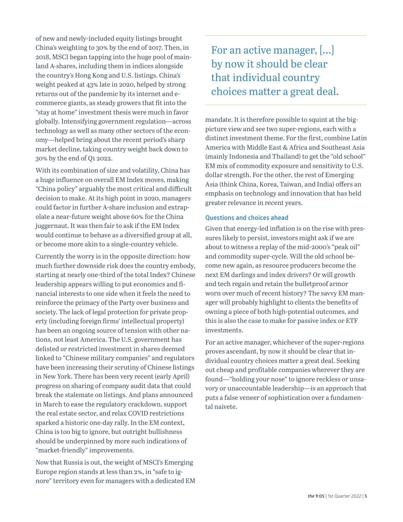of new and newly-included equity listings brought China's weighting to 30% by the end of 2017. Then, in 2018, MSCI began tapping into the huge pool of mainland A-shares, including them in indices alongside the country's Hong Kong and U.S. listings. China's weight peaked at 43% late in 2020, helped by strong returns out of the pandemic by its internet and ecommerce giants, as steady growers that fit into the "stay at home" investment thesis were much in favor globally. Intensifying government regulation—across technology as well as many other sectors of the economy—helped bring about the recent period's sharp market decline, taking country weight back down to 30% by the end of Q1 2022.

With its combination of size and volatility, China has a huge influence on overall EM Index moves, making "China policy" arguably the most critical and difficult decision to make. At its high point in 2020, managers could factor in further A-share inclusion and extrapolate a near-future weight above 60% for the China juggernaut. It was then fair to ask if the EM Index would continue to behave as a diversified group at all, or become more akin to a single-country vehicle.

Currently the worry is in the opposite direction: how much further downside risk does the country embody, starting at nearly one-third of the total Index? Chinese leadership appears willing to put economics and financial interests to one side when it feels the need to reinforce the primacy of the Party over business and society. The lack of legal protection for private property (including foreign firms' intellectual property) has been an ongoing source of tension with other nations, not least America. The U.S. government has delisted or restricted investment in shares deemed linked to "Chinese military companies" and regulators have been increasing their scrutiny of Chinese listings in New York. There has been very recent (early April) progress on sharing of company audit data that could break the stalemate on listings. And plans announced in March to ease the regulatory crackdown, support the real estate sector, and relax COVID restrictions sparked a historic one-day rally. In the EM context, China is too big to ignore, but outright bullishness should be underpinned by more such indications of "market-friendly" improvements.

Now that Russia is out, the weight of MSCI's Emerging Europe region stands at less than 2%, in "safe to ignore" territory even for managers with a dedicated EM For an active manager, [...] by now it should be clear that individual country choices matter a great deal.

mandate. It is therefore possible to squint at the bigpicture view and see two super-regions, each with a distinct investment theme. For the first, combine Latin America with Middle East & Africa and Southeast Asia (mainly Indonesia and Thailand) to get the "old school" EM mix of commodity exposure and sensitivity to U.S. dollar strength. For the other, the rest of Emerging Asia (think China, Korea, Taiwan, and India) offers an emphasis on technology and innovation that has held greater relevance in recent years.

### **Questions and choices ahead**

Given that energy-led inflation is on the rise with pressures likely to persist, investors might ask if we are about to witness a replay of the mid-2000's "peak oil" and commodity super-cycle. Will the old school become new again, as resource producers become the next EM darlings and index drivers? Or will growth and tech regain and retain the bulletproof armor worn over much of recent history? The savvy EM manager will probably highlight to clients the benefits of owning a piece of both high-potential outcomes, and this is also the case to make for passive index or ETF investments.

For an active manager, whichever of the super-regions proves ascendant, by now it should be clear that individual country choices matter a great deal. Seeking out cheap and profitable companies wherever they are found—"holding your nose" to ignore reckless or unsavory or unaccountable leadership—is an approach that puts a false veneer of sophistication over a fundamental naivete.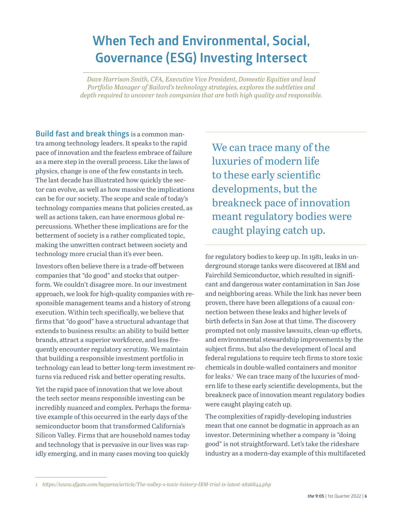# **When Tech and Environmental, Social, Governance (ESG) Investing Intersect**

*Dave Harrison Smith, CFA, Executive Vice President, Domestic Equities and lead Portfolio Manager of Bailard's technology strategies, explores the subtleties and depth required to uncover tech companies that are both high quality and responsible.* 

**Build fast and break things** is a common mantra among technology leaders. It speaks to the rapid pace of innovation and the fearless embrace of failure as a mere step in the overall process. Like the laws of physics, change is one of the few constants in tech. The last decade has illustrated how quickly the sector can evolve, as well as how massive the implications can be for our society. The scope and scale of today's technology companies means that policies created, as well as actions taken, can have enormous global repercussions. Whether these implications are for the betterment of society is a rather complicated topic, making the unwritten contract between society and technology more crucial than it's ever been.

Investors often believe there is a trade-off between companies that "do good" and stocks that outperform. We couldn't disagree more. In our investment approach, we look for high-quality companies with responsible management teams and a history of strong execution. Within tech specifically, we believe that firms that "do good" have a structural advantage that extends to business results: an ability to build better brands, attract a superior workforce, and less frequently encounter regulatory scrutiny. We maintain that building a responsible investment portfolio in technology can lead to better long-term investment returns via reduced risk and better operating results.

Yet the rapid pace of innovation that we love about the tech sector means responsible investing can be incredibly nuanced and complex. Perhaps the formative example of this occurred in the early days of the semiconductor boom that transformed California's Silicon Valley. Firms that are household names today and technology that is pervasive in our lives was rapidly emerging, and in many cases moving too quickly

We can trace many of the luxuries of modern life to these early scientific developments, but the breakneck pace of innovation meant regulatory bodies were caught playing catch up.

for regulatory bodies to keep up. In 1981, leaks in underground storage tanks were discovered at IBM and Fairchild Semiconductor, which resulted in significant and dangerous water contamination in San Jose and neighboring areas. While the link has never been proven, there have been allegations of a causal connection between these leaks and higher levels of birth defects in San Jose at that time. The discovery prompted not only massive lawsuits, clean-up efforts, and environmental stewardship improvements by the subject firms, but also the development of local and federal regulations to require tech firms to store toxic chemicals in double-walled containers and monitor for leaks.<sup>1</sup> We can trace many of the luxuries of modern life to these early scientific developments, but the breakneck pace of innovation meant regulatory bodies were caught playing catch up.

The complexities of rapidly-developing industries mean that one cannot be dogmatic in approach as an investor. Determining whether a company is "doing good" is not straightforward. Let's take the rideshare industry as a modern-day example of this multifaceted

*<sup>1</sup> https://www.sfgate.com/bayarea/article/The-valley-s-toxic-history-IBM-trial-is-latest-2826844.php*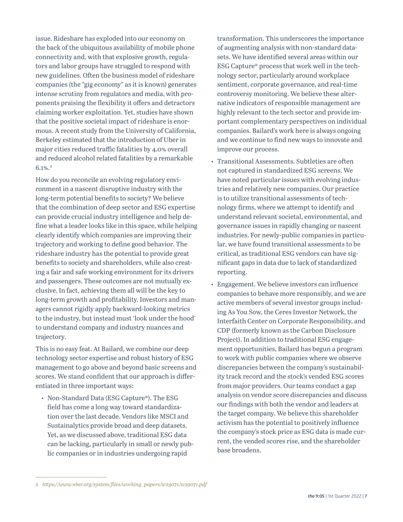issue. Rideshare has exploded into our economy on the back of the ubiquitous availability of mobile phone connectivity and, with that explosive growth, regulators and labor groups have struggled to respond with new guidelines. Often the business model of rideshare companies (the "gig economy" as it is known) generates intense scrutiny from regulators and media, with proponents praising the flexibility it offers and detractors claiming worker exploitation. Yet, studies have shown that the positive societal impact of rideshare is enormous. A recent study from the University of California, Berkeley estimated that the introduction of Uber in major cities reduced traffic fatalities by 4.0% overall and reduced alcohol related fatalities by a remarkable 6.1%.2

How do you reconcile an evolving regulatory environment in a nascent disruptive industry with the long-term potential benefits to society? We believe that the combination of deep sector and ESG expertise can provide crucial industry intelligence and help define what a leader looks like in this space, while helping clearly identify which companies are improving their trajectory and working to define good behavior. The rideshare industry has the potential to provide great benefits to society and shareholders, while also creating a fair and safe working environment for its drivers and passengers. These outcomes are not mutually exclusive. In fact, achieving them all will be the key to long-term growth and profitability. Investors and managers cannot rigidly apply backward-looking metrics to the industry, but instead must 'look under the hood' to understand company and industry nuances and trajectory.

This is no easy feat. At Bailard, we combine our deep technology sector expertise and robust history of ESG management to go above and beyond basic screens and scores. We stand confident that our approach is differentiated in three important ways:

• Non-Standard Data (ESG Capture®). The ESG field has come a long way toward standardization over the last decade. Vendors like MSCI and Sustainalytics provide broad and deep datasets. Yet, as we discussed above, traditional ESG data can be lacking, particularly in small or newly public companies or in industries undergoing rapid

transformation. This underscores the importance of augmenting analysis with non-standard datasets. We have identified several areas within our ESG Capture® process that work well in the technology sector, particularly around workplace sentiment, corporate governance, and real-time controversy monitoring. We believe these alternative indicators of responsible management are highly relevant to the tech sector and provide important complementary perspectives on individual companies. Bailard's work here is always ongoing and we continue to find new ways to innovate and improve our process.

- Transitional Assessments. Subtleties are often not captured in standardized ESG screens. We have noted particular issues with evolving industries and relatively new companies. Our practice is to utilize transitional assessments of technology firms, where we attempt to identify and understand relevant societal, environmental, and governance issues in rapidly changing or nascent industries. For newly-public companies in particular, we have found transitional assessments to be critical, as traditional ESG vendors can have significant gaps in data due to lack of standardized reporting.
- Engagement. We believe investors can influence companies to behave more responsibly, and we are active members of several investor groups including As You Sow, the Ceres Investor Network, the Interfaith Center on Corporate Responsibility, and CDP (formerly known as the Carbon Disclosure Project). In addition to traditional ESG engagement opportunities, Bailard has begun a program to work with public companies where we observe discrepancies between the company's sustainability track record and the stock's vended ESG scores from major providers. Our teams conduct a gap analysis on vendor score discrepancies and discuss our findings with both the vendor and leaders at the target company. We believe this shareholder activism has the potential to positively influence the company's stock price as ESG data is made current, the vended scores rise, and the shareholder base broadens.

*<sup>2</sup> https://www.nber.org/system/files/working\_papers/w29071/w29071.pdf*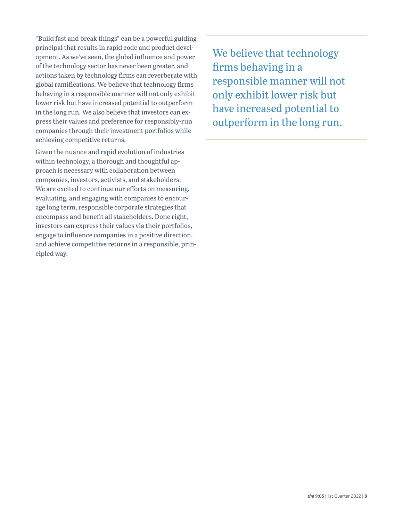"Build fast and break things" can be a powerful guiding principal that results in rapid code and product development. As we've seen, the global influence and power of the technology sector has never been greater, and actions taken by technology firms can reverberate with global ramifications. We believe that technology firms behaving in a responsible manner will not only exhibit lower risk but have increased potential to outperform in the long run. We also believe that investors can express their values and preference for responsibly-run companies through their investment portfolios while achieving competitive returns.

Given the nuance and rapid evolution of industries within technology, a thorough and thoughtful approach is necessary with collaboration between companies, investors, activists, and stakeholders. We are excited to continue our efforts on measuring, evaluating, and engaging with companies to encourage long term, responsible corporate strategies that encompass and benefit all stakeholders. Done right, investors can express their values via their portfolios, engage to influence companies in a positive direction, and achieve competitive returns in a responsible, principled way.

We believe that technology firms behaving in a responsible manner will not only exhibit lower risk but have increased potential to outperform in the long run.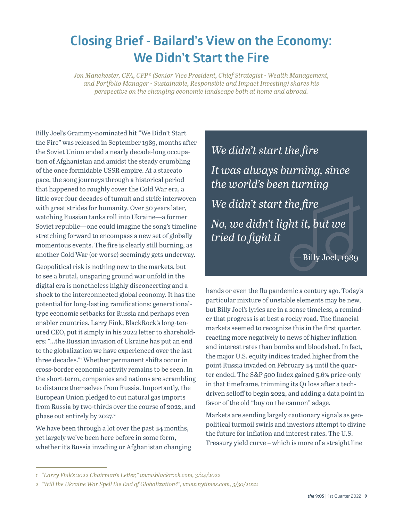## **Closing Brief - Bailard's View on the Economy: We Didn't Start the Fire**

*Jon Manchester, CFA, CFP® (Senior Vice President, Chief Strategist - Wealth Management, and Portfolio Manager - Sustainable, Responsible and Impact Investing) shares his perspective on the changing economic landscape both at home and abroad.* 

Billy Joel's Grammy-nominated hit "We Didn't Start the Fire" was released in September 1989, months after the Soviet Union ended a nearly decade-long occupation of Afghanistan and amidst the steady crumbling of the once formidable USSR empire. At a staccato pace, the song journeys through a historical period that happened to roughly cover the Cold War era, a little over four decades of tumult and strife interwoven with great strides for humanity. Over 30 years later, watching Russian tanks roll into Ukraine—a former Soviet republic—one could imagine the song's timeline stretching forward to encompass a new set of globally momentous events. The fire is clearly still burning, as another Cold War (or worse) seemingly gets underway.

Geopolitical risk is nothing new to the markets, but to see a brutal, unsparing ground war unfold in the digital era is nonetheless highly disconcerting and a shock to the interconnected global economy. It has the potential for long-lasting ramifications: generationaltype economic setbacks for Russia and perhaps even enabler countries. Larry Fink, BlackRock's long-tenured CEO, put it simply in his 2022 letter to shareholders: "…the Russian invasion of Ukraine has put an end to the globalization we have experienced over the last three decades."1 Whether permanent shifts occur in cross-border economic activity remains to be seen. In the short-term, companies and nations are scrambling to distance themselves from Russia. Importantly, the European Union pledged to cut natural gas imports from Russia by two-thirds over the course of 2022, and phase out entirely by 2027.<sup>2</sup>

We have been through a lot over the past 24 months, yet largely we've been here before in some form, whether it's Russia invading or Afghanistan changing

*We didn't start the fire It was always burning, since* 

*the world's been turning*

*We didn't start the fire*

*No, we didn't light it, but we tried to fight it*

— Billy Joel, 1989

hands or even the flu pandemic a century ago. Today's particular mixture of unstable elements may be new, but Billy Joel's lyrics are in a sense timeless, a reminder that progress is at best a rocky road. The financial markets seemed to recognize this in the first quarter, reacting more negatively to news of higher inflation and interest rates than bombs and bloodshed. In fact, the major U.S. equity indices traded higher from the point Russia invaded on February 24 until the quarter ended. The S&P 500 Index gained 5.6% price-only in that timeframe, trimming its Q1 loss after a techdriven selloff to begin 2022, and adding a data point in favor of the old "buy on the cannon" adage.

Markets are sending largely cautionary signals as geopolitical turmoil swirls and investors attempt to divine the future for inflation and interest rates. The U.S. Treasury yield curve – which is more of a straight line

*<sup>1</sup> "Larry Fink's 2022 Chairman's Letter," www.blackrock.com, 3/24/2022*

*<sup>2</sup> "Will the Ukraine War Spell the End of Globalization?", www.nytimes.com, 3/30/2022*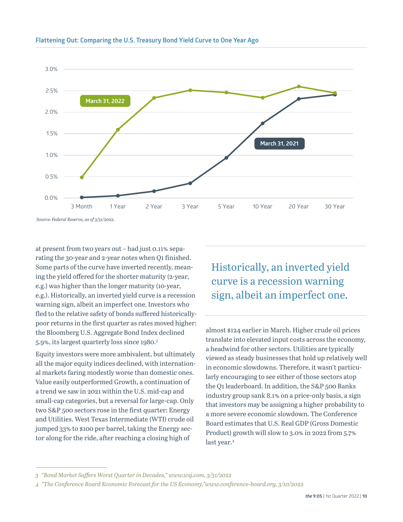

#### **Flattening Out: Comparing the U.S. Treasury Bond Yield Curve to One Year Ago**

at present from two years out – had just 0.11% separating the 30-year and 2-year notes when Q1 finished. Some parts of the curve have inverted recently, meaning the yield offered for the shorter maturity (2-year, e.g.) was higher than the longer maturity (10-year, e.g.). Historically, an inverted yield curve is a recession warning sign, albeit an imperfect one. Investors who fled to the relative safety of bonds suffered historicallypoor returns in the first quarter as rates moved higher: the Bloomberg U.S. Aggregate Bond Index declined 5.9%, its largest quarterly loss since 1980.3

Equity investors were more ambivalent, but ultimately all the major equity indices declined, with international markets faring modestly worse than domestic ones. Value easily outperformed Growth, a continuation of a trend we saw in 2021 within the U.S. mid-cap and small-cap categories, but a reversal for large-cap. Only two S&P 500 sectors rose in the first quarter: Energy and Utilities. West Texas Intermediate (WTI) crude oil jumped 33% to \$100 per barrel, taking the Energy sector along for the ride, after reaching a closing high of

Historically, an inverted yield curve is a recession warning sign, albeit an imperfect one.

almost \$124 earlier in March. Higher crude oil prices translate into elevated input costs across the economy, a headwind for other sectors. Utilities are typically viewed as steady businesses that hold up relatively well in economic slowdowns. Therefore, it wasn't particularly encouraging to see either of those sectors atop the Q1 leaderboard. In addition, the S&P 500 Banks industry group sank 8.1% on a price-only basis, a sign that investors may be assigning a higher probability to a more severe economic slowdown. The Conference Board estimates that U.S. Real GDP (Gross Domestic Product) growth will slow to 3.0% in 2022 from 5.7% last year.4

*<sup>3</sup> "Bond Market Suffers Worst Quarter in Decades," www.wsj.com, 3/31/2022*

*<sup>4</sup> "The Conference Board Economic Forecast for the US Economy,"www.conference-board.org, 3/10/2022*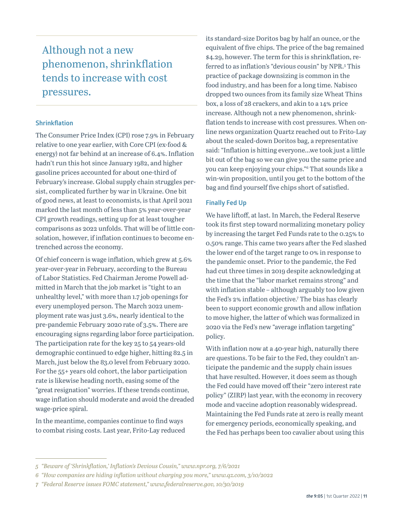## Although not a new phenomenon, shrinkflation tends to increase with cost pressures.

### **Shrinkflation**

The Consumer Price Index (CPI) rose 7.9% in February relative to one year earlier, with Core CPI (ex-food & energy) not far behind at an increase of 6.4%. Inflation hadn't run this hot since January 1982, and higher gasoline prices accounted for about one-third of February's increase. Global supply chain struggles persist, complicated further by war in Ukraine. One bit of good news, at least to economists, is that April 2021 marked the last month of less than 5% year-over-year CPI growth readings, setting up for at least tougher comparisons as 2022 unfolds. That will be of little consolation, however, if inflation continues to become entrenched across the economy.

Of chief concern is wage inflation, which grew at 5.6% year-over-year in February, according to the Bureau of Labor Statistics. Fed Chairman Jerome Powell admitted in March that the job market is "tight to an unhealthy level," with more than 1.7 job openings for every unemployed person. The March 2022 unemployment rate was just 3.6%, nearly identical to the pre-pandemic February 2020 rate of 3.5%. There are encouraging signs regarding labor force participation. The participation rate for the key 25 to 54 years-old demographic continued to edge higher, hitting 82.5 in March, just below the 83.0 level from February 2020. For the 55+ years old cohort, the labor participation rate is likewise heading north, easing some of the "great resignation" worries. If these trends continue, wage inflation should moderate and avoid the dreaded wage-price spiral.

In the meantime, companies continue to find ways to combat rising costs. Last year, Frito-Lay reduced its standard-size Doritos bag by half an ounce, or the equivalent of five chips. The price of the bag remained \$4.29, however. The term for this is shrinkflation, referred to as inflation's "devious cousin" by NPR.5 This practice of package downsizing is common in the food industry, and has been for a long time. Nabisco dropped two ounces from its family size Wheat Thins box, a loss of 28 crackers, and akin to a 14% price increase. Although not a new phenomenon, shrinkflation tends to increase with cost pressures. When online news organization Quartz reached out to Frito-Lay about the scaled-down Doritos bag, a representative said: "Inflation is hitting everyone…we took just a little bit out of the bag so we can give you the same price and you can keep enjoying your chips."6 That sounds like a win-win proposition, until you get to the bottom of the bag and find yourself five chips short of satisfied.

### **Finally Fed Up**

We have liftoff, at last. In March, the Federal Reserve took its first step toward normalizing monetary policy by increasing the target Fed Funds rate to the 0.25% to 0.50% range. This came two years after the Fed slashed the lower end of the target range to 0% in response to the pandemic onset. Prior to the pandemic, the Fed had cut three times in 2019 despite acknowledging at the time that the "labor market remains strong" and with inflation stable – although arguably too low given the Fed's 2% inflation objective.7 The bias has clearly been to support economic growth and allow inflation to move higher, the latter of which was formalized in 2020 via the Fed's new "average inflation targeting" policy.

With inflation now at a 40-year high, naturally there are questions. To be fair to the Fed, they couldn't anticipate the pandemic and the supply chain issues that have resulted. However, it does seem as though the Fed could have moved off their "zero interest rate policy" (ZIRP) last year, with the economy in recovery mode and vaccine adoption reasonably widespread. Maintaining the Fed Funds rate at zero is really meant for emergency periods, economically speaking, and the Fed has perhaps been too cavalier about using this

*<sup>5</sup> "Beware of 'Shrinkflation,' Inflation's Devious Cousin," www.npr.org, 7/6/2021*

*<sup>6</sup> "How companies are hiding inflation without charging you more," www.qz.com, 3/10/2022*

*<sup>7</sup> "Federal Reserve issues FOMC statement," www.federalreserve.gov, 10/30/2019*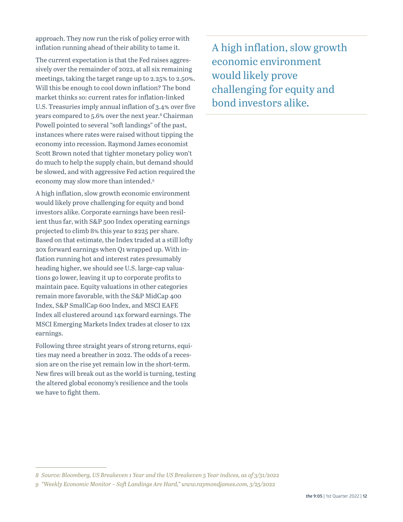approach. They now run the risk of policy error with inflation running ahead of their ability to tame it.

The current expectation is that the Fed raises aggressively over the remainder of 2022, at all six remaining meetings, taking the target range up to 2.25% to 2.50%. Will this be enough to cool down inflation? The bond market thinks so: current rates for inflation-linked U.S. Treasuries imply annual inflation of 3.4% over five years compared to 5.6% over the next year.<sup>8</sup> Chairman Powell pointed to several "soft landings" of the past, instances where rates were raised without tipping the economy into recession. Raymond James economist Scott Brown noted that tighter monetary policy won't do much to help the supply chain, but demand should be slowed, and with aggressive Fed action required the economy may slow more than intended.9

A high inflation, slow growth economic environment would likely prove challenging for equity and bond investors alike. Corporate earnings have been resilient thus far, with S&P 500 Index operating earnings projected to climb 8% this year to \$225 per share. Based on that estimate, the Index traded at a still lofty 20x forward earnings when Q1 wrapped up. With inflation running hot and interest rates presumably heading higher, we should see U.S. large-cap valuations go lower, leaving it up to corporate profits to maintain pace. Equity valuations in other categories remain more favorable, with the S&P MidCap 400 Index, S&P SmallCap 600 Index, and MSCI EAFE Index all clustered around 14x forward earnings. The MSCI Emerging Markets Index trades at closer to 12x earnings.

Following three straight years of strong returns, equities may need a breather in 2022. The odds of a recession are on the rise yet remain low in the short-term. New fires will break out as the world is turning, testing the altered global economy's resilience and the tools we have to fight them.

A high inflation, slow growth economic environment would likely prove challenging for equity and bond investors alike.

*<sup>8</sup> Source: Bloomberg, US Breakeven 1 Year and the US Breakeven 5 Year indices, as of 3/31/2022*

*<sup>9</sup> "Weekly Economic Monitor – Soft Landings Are Hard," www.raymondjames.com, 3/25/2022*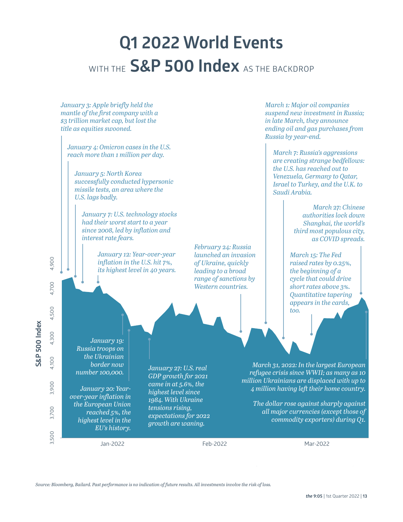# **Q1 2022 World Events**  WITH THE **S&P 500 Index** AS THE BACKDROP

Chart Title **Source: Bloomberg, Bailard. Past performance is no indication of future results. All investments involvements of loss.**<br> **Source: Bloomberg, Bailard. Past performance is no indication of future results. All investments in** *January 27: U.S. real GDP growth for 2021 came in at 5.6%, the January 3: Apple briefly held the mantle of the first company with a \$3 trillion market cap, but lost the title as equities swooned. January 4: Omicron cases in the U.S. reach more than 1 million per day. January 5: North Korea successfully conducted hypersonic missile tests, an area where the U.S. lags badly. February 24: Russia launched an invasion of Ukraine, quickly leading to a broad range of sanctions by Western countries. too. January 12: Year-over-year inflation in the U.S. hit 7%, its highest level in 40 years. January 7: U.S. technology stocks had their worst start to a year since 2008, led by inflation and interest rate fears. January 19: Russia troops on the Ukrainian border now number 100,000.*

*March 1: Major oil companies suspend new investment in Russia; in late March, they announce ending oil and gas purchases from Russia by year-end.*

*March 7: Russia's aggressions are creating strange bedfellows: the U.S. has reached out to Venezuela, Germany to Qatar, Israel to Turkey, and the U.K. to Saudi Arabia.*

> *March 27: Chinese authorities lock down Shanghai, the world's third most populous city, as COVID spreads.*

*March 15: The Fed raised rates by 0.25%, the beginning of a cycle that could drive short rates above 3%. Quantitative tapering appears in the cards,* 

*January 20: Yearover-year inflation in the European Union reached 5%, the highest level in the EU's history.*

3,500 3,700 3,900 4,100 4,300 4,500 4,700 4,900

4,900

4,700

*highest level since 1984. With Ukraine tensions rising, expectations for 2022 growth are waning.*

*March 31, 2022: In the largest European refugee crisis since WWII; as many as 10 million Ukrainians are displaced with up to 4 million having left their home country.*

> *The dollar rose against sharply against all major currencies (except those of commodity exporters) during Q1.*

 $1-\frac{7}{6}$ 

 $\cdot$ e Jan-2022 Feb-2022 Mar-2022

 $\overline{1}$  $\frac{2}{2}$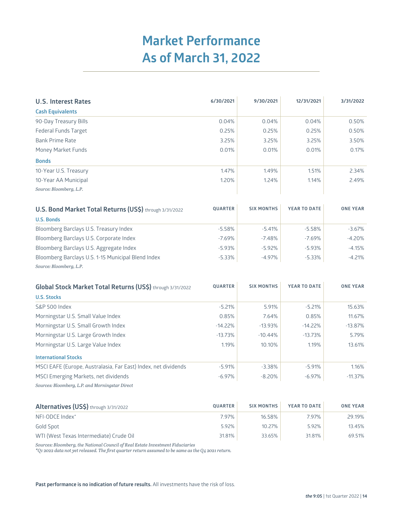# **Market Performance As of March 31, 2022**

| <b>U.S. Interest Rates</b> | 6/30/2021 | 9/30/2021 | 12/31/2021 | 3/31/2022 |
|----------------------------|-----------|-----------|------------|-----------|
| <b>Cash Equivalents</b>    |           |           |            |           |
| 90-Day Treasury Bills      | 0.04%     | 0.04%     | 0.04%      | 0.50%     |
| Federal Funds Target       | 0.25%     | 0.25%     | 0.25%      | 0.50%     |
| <b>Bank Prime Rate</b>     | 3.25%     | 3.25%     | 3.25%      | 3.50%     |
| Money Market Funds         | 0.01%     | 0.01%     | 0.01%      | 0.17%     |
| <b>Bonds</b>               |           |           |            |           |
| 10-Year U.S. Treasury      | 1.47%     | 1.49%     | 1.51%      | 2.34%     |
| 10-Year AA Municipal       | 1.20%     | 1.24%     | 1.14%      | 2.49%     |
| Source: Bloomberg, L.P.    |           |           |            |           |

| U.S. Bond Market Total Returns (US\$) through 3/31/2022 | <b>QUARTER</b> | <b>SIX MONTHS</b> | YEAR TO DATE | <b>ONE YEAR</b> |
|---------------------------------------------------------|----------------|-------------------|--------------|-----------------|
| <b>U.S. Bonds</b>                                       |                |                   |              |                 |
| Bloomberg Barclays U.S. Treasury Index                  | $-5.58%$       | $-5.41%$          | $-5.58%$     | $-3.67%$        |
| Bloomberg Barclays U.S. Corporate Index                 | $-7.69%$       | $-7.48%$          | $-7.69\%$    | $-4.20%$        |
| Bloomberg Barclays U.S. Aggregate Index                 | $-5.93%$       | $-5.92\%$         | $-5.93%$     | $-4.15%$        |
| Bloomberg Barclays U.S. 1-15 Municipal Blend Index      | $-5.33%$       | -4.97%            | $-5.33\%$    | $-4.21%$        |
| Source: Bloomberg, L.P.                                 |                |                   |              |                 |

| Global Stock Market Total Returns (US\$) through 3/31/2022     | <b>QUARTER</b> | <b>SIX MONTHS</b> | YEAR TO DATE | <b>ONE YEAR</b> |
|----------------------------------------------------------------|----------------|-------------------|--------------|-----------------|
| <b>U.S. Stocks</b>                                             |                |                   |              |                 |
| S&P 500 Index                                                  | $-5.21%$       | 5.91%             | $-5.21%$     | 15.63%          |
| Morningstar U.S. Small Value Index                             | 0.85%          | 7.64%             | 0.85%        | 11.67%          |
| Morningstar U.S. Small Growth Index                            | $-14.22\%$     | $-13.93\%$        | $-14.22%$    | $-13.87%$       |
| Morningstar U.S. Large Growth Index                            | $-13.73%$      | $-10.44%$         | $-13.73%$    | 5.79%           |
| Morningstar U.S. Large Value Index                             | 1.19%          | 10.10%            | 1.19%        | 13.61%          |
| <b>International Stocks</b>                                    |                |                   |              |                 |
| MSCI EAFE (Europe, Australasia, Far East) Index, net dividends | $-5.91%$       | $-3.38%$          | $-5.91%$     | 1.16%           |
| MSCI Emerging Markets, net dividends                           | $-6.97%$       | $-8.20%$          | $-6.97\%$    | $-11.37%$       |
| Sources: Bloomberg, L.P. and Morningstar Direct                |                |                   |              |                 |

| Alternatives (US\$) through 3/31/2022   | <b>QUARTER</b> | <b>SIX MONTHS</b> | YEAR TO DATE | <b>ONE YEAR</b> |
|-----------------------------------------|----------------|-------------------|--------------|-----------------|
| NFI-ODCE Index*                         | 7.97%          | 16.58%            | 7.97%        | 29.19%          |
| Gold Spot                               | 5.92%          | 10.27%            | 5.92%        | 13.45%          |
| WTI (West Texas Intermediate) Crude Oil | 31.81%         | 33.65%            | 31.81%       | 69.51%          |

*Sources: Bloomberg, the National Council of Real Estate Investment Fiduciaries*

*\*Q1 2022 data not yet released. The first quarter return assumed to be same as the Q4 2021 return.*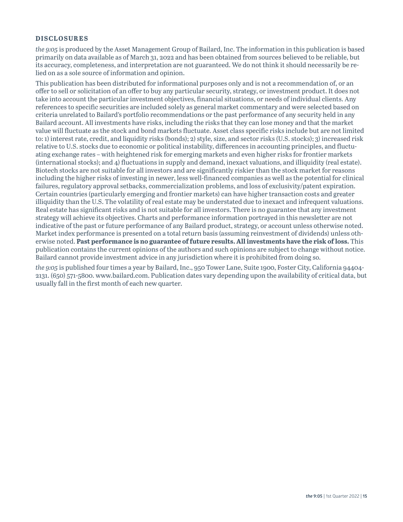### **DISCLOSURES**

*the 9:05* is produced by the Asset Management Group of Bailard, Inc. The information in this publication is based primarily on data available as of March 31, 2022 and has been obtained from sources believed to be reliable, but its accuracy, completeness, and interpretation are not guaranteed. We do not think it should necessarily be relied on as a sole source of information and opinion.

This publication has been distributed for informational purposes only and is not a recommendation of, or an offer to sell or solicitation of an offer to buy any particular security, strategy, or investment product. It does not take into account the particular investment objectives, financial situations, or needs of individual clients. Any references to specific securities are included solely as general market commentary and were selected based on criteria unrelated to Bailard's portfolio recommendations or the past performance of any security held in any Bailard account. All investments have risks, including the risks that they can lose money and that the market value will fluctuate as the stock and bond markets fluctuate. Asset class specific risks include but are not limited to: 1) interest rate, credit, and liquidity risks (bonds); 2) style, size, and sector risks (U.S. stocks); 3) increased risk relative to U.S. stocks due to economic or political instability, differences in accounting principles, and fluctuating exchange rates – with heightened risk for emerging markets and even higher risks for frontier markets (international stocks); and 4) fluctuations in supply and demand, inexact valuations, and illiquidity (real estate). Biotech stocks are not suitable for all investors and are significantly riskier than the stock market for reasons including the higher risks of investing in newer, less well-financed companies as well as the potential for clinical failures, regulatory approval setbacks, commercialization problems, and loss of exclusivity/patent expiration. Certain countries (particularly emerging and frontier markets) can have higher transaction costs and greater illiquidity than the U.S. The volatility of real estate may be understated due to inexact and infrequent valuations. Real estate has significant risks and is not suitable for all investors. There is no guarantee that any investment strategy will achieve its objectives. Charts and performance information portrayed in this newsletter are not indicative of the past or future performance of any Bailard product, strategy, or account unless otherwise noted. Market index performance is presented on a total return basis (assuming reinvestment of dividends) unless otherwise noted. **Past performance is no guarantee of future results. All investments have the risk of loss.** This publication contains the current opinions of the authors and such opinions are subject to change without notice. Bailard cannot provide investment advice in any jurisdiction where it is prohibited from doing so.

*the 9:05* is published four times a year by Bailard, Inc., 950 Tower Lane, Suite 1900, Foster City, California 94404- 2131. (650) 571-5800. www.bailard.com. Publication dates vary depending upon the availability of critical data, but usually fall in the first month of each new quarter.